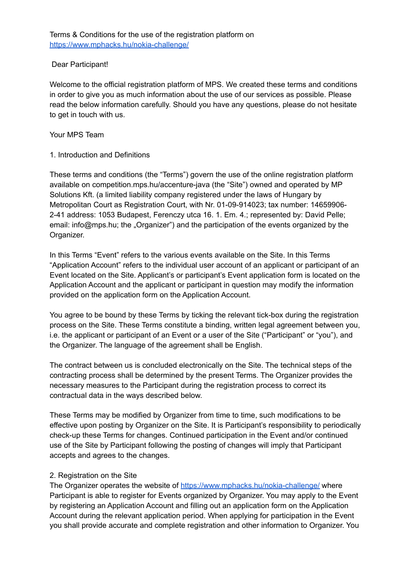## Dear Participant!

Welcome to the official registration platform of MPS. We created these terms and conditions in order to give you as much information about the use of our services as possible. Please read the below information carefully. Should you have any questions, please do not hesitate to get in touch with us.

### Your MPS Team

## 1. Introduction and Definitions

These terms and conditions (the "Terms") govern the use of the online registration platform available on competition.mps.hu/accenture-java (the "Site") owned and operated by MP Solutions Kft. (a limited liability company registered under the laws of Hungary by Metropolitan Court as Registration Court, with Nr. 01-09-914023; tax number: 14659906- 2-41 address: 1053 Budapest, Ferenczy utca 16. 1. Em. 4.; represented by: David Pelle; email: info@mps.hu; the "Organizer") and the participation of the events organized by the Organizer.

In this Terms "Event" refers to the various events available on the Site. In this Terms "Application Account" refers to the individual user account of an applicant or participant of an Event located on the Site. Applicant's or participant's Event application form is located on the Application Account and the applicant or participant in question may modify the information provided on the application form on the Application Account.

You agree to be bound by these Terms by ticking the relevant tick-box during the registration process on the Site. These Terms constitute a binding, written legal agreement between you, i.e. the applicant or participant of an Event or a user of the Site ("Participant" or "you"), and the Organizer. The language of the agreement shall be English.

The contract between us is concluded electronically on the Site. The technical steps of the contracting process shall be determined by the present Terms. The Organizer provides the necessary measures to the Participant during the registration process to correct its contractual data in the ways described below.

These Terms may be modified by Organizer from time to time, such modifications to be effective upon posting by Organizer on the Site. It is Participant's responsibility to periodically check-up these Terms for changes. Continued participation in the Event and/or continued use of the Site by Participant following the posting of changes will imply that Participant accepts and agrees to the changes.

# 2. Registration on the Site

The Organizer operates the website of <https://www.mphacks.hu/nokia-challenge/> where Participant is able to register for Events organized by Organizer. You may apply to the Event by registering an Application Account and filling out an application form on the Application Account during the relevant application period. When applying for participation in the Event you shall provide accurate and complete registration and other information to Organizer. You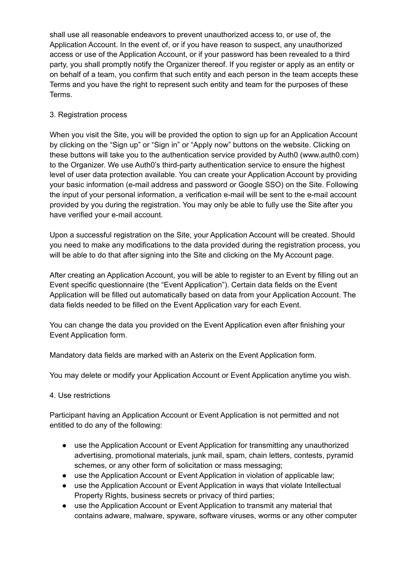shall use all reasonable endeavors to prevent unauthorized access to, or use of, the Application Account. In the event of, or if you have reason to suspect, any unauthorized access or use of the Application Account, or if your password has been revealed to a third party, you shall promptly notify the Organizer thereof. If you register or apply as an entity or on behalf of a team, you confirm that such entity and each person in the team accepts these Terms and you have the right to represent such entity and team for the purposes of these Terms.

## 3. Registration process

When you visit the Site, you will be provided the option to sign up for an Application Account by clicking on the "Sign up" or "Sign in" or "Apply now" buttons on the website. Clicking on these buttons will take you to the authentication service provided by Auth0 (www.auth0.com) to the Organizer. We use Auth0's third-party authentication service to ensure the highest level of user data protection available. You can create your Application Account by providing your basic information (e-mail address and password or Google SSO) on the Site. Following the input of your personal information, a verification e-mail will be sent to the e-mail account provided by you during the registration. You may only be able to fully use the Site after you have verified your e-mail account.

Upon a successful registration on the Site, your Application Account will be created. Should you need to make any modifications to the data provided during the registration process, you will be able to do that after signing into the Site and clicking on the My Account page.

After creating an Application Account, you will be able to register to an Event by filling out an Event specific questionnaire (the "Event Application"). Certain data fields on the Event Application will be filled out automatically based on data from your Application Account. The data fields needed to be filled on the Event Application vary for each Event.

You can change the data you provided on the Event Application even after finishing your Event Application form.

Mandatory data fields are marked with an Asterix on the Event Application form.

You may delete or modify your Application Account or Event Application anytime you wish.

### 4. Use restrictions

Participant having an Application Account or Event Application is not permitted and not entitled to do any of the following:

- use the Application Account or Event Application for transmitting any unauthorized advertising, promotional materials, junk mail, spam, chain letters, contests, pyramid schemes, or any other form of solicitation or mass messaging;
- use the Application Account or Event Application in violation of applicable law;
- use the Application Account or Event Application in ways that violate Intellectual Property Rights, business secrets or privacy of third parties;
- use the Application Account or Event Application to transmit any material that contains adware, malware, spyware, software viruses, worms or any other computer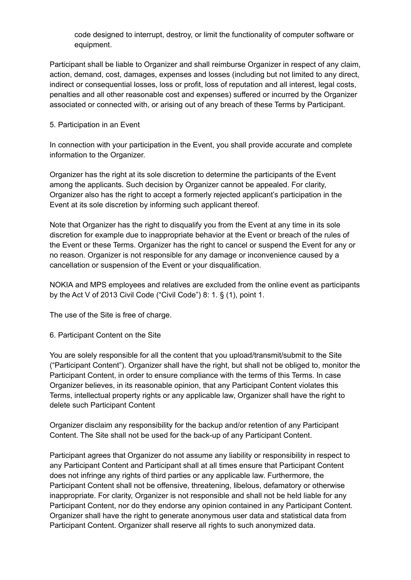code designed to interrupt, destroy, or limit the functionality of computer software or equipment.

Participant shall be liable to Organizer and shall reimburse Organizer in respect of any claim, action, demand, cost, damages, expenses and losses (including but not limited to any direct, indirect or consequential losses, loss or profit, loss of reputation and all interest, legal costs, penalties and all other reasonable cost and expenses) suffered or incurred by the Organizer associated or connected with, or arising out of any breach of these Terms by Participant.

### 5. Participation in an Event

In connection with your participation in the Event, you shall provide accurate and complete information to the Organizer.

Organizer has the right at its sole discretion to determine the participants of the Event among the applicants. Such decision by Organizer cannot be appealed. For clarity, Organizer also has the right to accept a formerly rejected applicant's participation in the Event at its sole discretion by informing such applicant thereof.

Note that Organizer has the right to disqualify you from the Event at any time in its sole discretion for example due to inappropriate behavior at the Event or breach of the rules of the Event or these Terms. Organizer has the right to cancel or suspend the Event for any or no reason. Organizer is not responsible for any damage or inconvenience caused by a cancellation or suspension of the Event or your disqualification.

NOKIA and MPS employees and relatives are excluded from the online event as participants by the Act V of 2013 Civil Code ("Civil Code") 8: 1. § (1), point 1.

The use of the Site is free of charge.

6. Participant Content on the Site

You are solely responsible for all the content that you upload/transmit/submit to the Site ("Participant Content"). Organizer shall have the right, but shall not be obliged to, monitor the Participant Content, in order to ensure compliance with the terms of this Terms. In case Organizer believes, in its reasonable opinion, that any Participant Content violates this Terms, intellectual property rights or any applicable law, Organizer shall have the right to delete such Participant Content

Organizer disclaim any responsibility for the backup and/or retention of any Participant Content. The Site shall not be used for the back-up of any Participant Content.

Participant agrees that Organizer do not assume any liability or responsibility in respect to any Participant Content and Participant shall at all times ensure that Participant Content does not infringe any rights of third parties or any applicable law. Furthermore, the Participant Content shall not be offensive, threatening, libelous, defamatory or otherwise inappropriate. For clarity, Organizer is not responsible and shall not be held liable for any Participant Content, nor do they endorse any opinion contained in any Participant Content. Organizer shall have the right to generate anonymous user data and statistical data from Participant Content. Organizer shall reserve all rights to such anonymized data.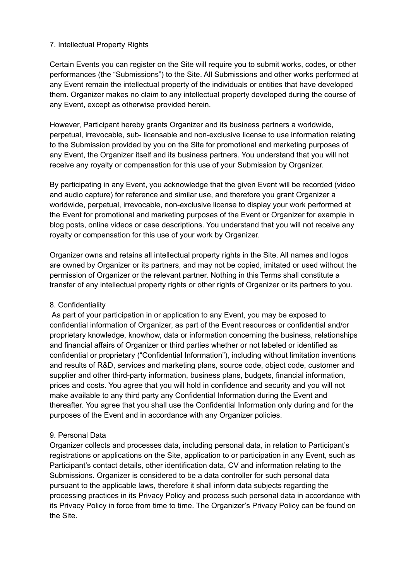## 7. Intellectual Property Rights

Certain Events you can register on the Site will require you to submit works, codes, or other performances (the "Submissions") to the Site. All Submissions and other works performed at any Event remain the intellectual property of the individuals or entities that have developed them. Organizer makes no claim to any intellectual property developed during the course of any Event, except as otherwise provided herein.

However, Participant hereby grants Organizer and its business partners a worldwide, perpetual, irrevocable, sub- licensable and non-exclusive license to use information relating to the Submission provided by you on the Site for promotional and marketing purposes of any Event, the Organizer itself and its business partners. You understand that you will not receive any royalty or compensation for this use of your Submission by Organizer.

By participating in any Event, you acknowledge that the given Event will be recorded (video and audio capture) for reference and similar use, and therefore you grant Organizer a worldwide, perpetual, irrevocable, non-exclusive license to display your work performed at the Event for promotional and marketing purposes of the Event or Organizer for example in blog posts, online videos or case descriptions. You understand that you will not receive any royalty or compensation for this use of your work by Organizer.

Organizer owns and retains all intellectual property rights in the Site. All names and logos are owned by Organizer or its partners, and may not be copied, imitated or used without the permission of Organizer or the relevant partner. Nothing in this Terms shall constitute a transfer of any intellectual property rights or other rights of Organizer or its partners to you.

### 8. Confidentiality

As part of your participation in or application to any Event, you may be exposed to confidential information of Organizer, as part of the Event resources or confidential and/or proprietary knowledge, knowhow, data or information concerning the business, relationships and financial affairs of Organizer or third parties whether or not labeled or identified as confidential or proprietary ("Confidential Information"), including without limitation inventions and results of R&D, services and marketing plans, source code, object code, customer and supplier and other third-party information, business plans, budgets, financial information, prices and costs. You agree that you will hold in confidence and security and you will not make available to any third party any Confidential Information during the Event and thereafter. You agree that you shall use the Confidential Information only during and for the purposes of the Event and in accordance with any Organizer policies.

### 9. Personal Data

Organizer collects and processes data, including personal data, in relation to Participant's registrations or applications on the Site, application to or participation in any Event, such as Participant's contact details, other identification data, CV and information relating to the Submissions. Organizer is considered to be a data controller for such personal data pursuant to the applicable laws, therefore it shall inform data subjects regarding the processing practices in its Privacy Policy and process such personal data in accordance with its Privacy Policy in force from time to time. The Organizer's Privacy Policy can be found on the Site.